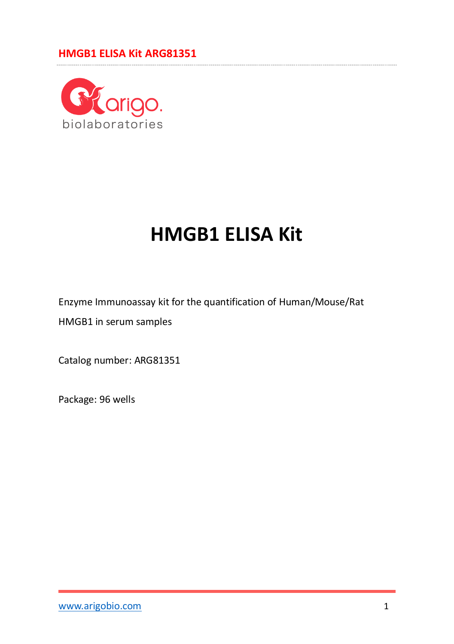

# **HMGB1 ELISA Kit**

Enzyme Immunoassay kit for the quantification of Human/Mouse/Rat

HMGB1 in serum samples

Catalog number: ARG81351

Package: 96 wells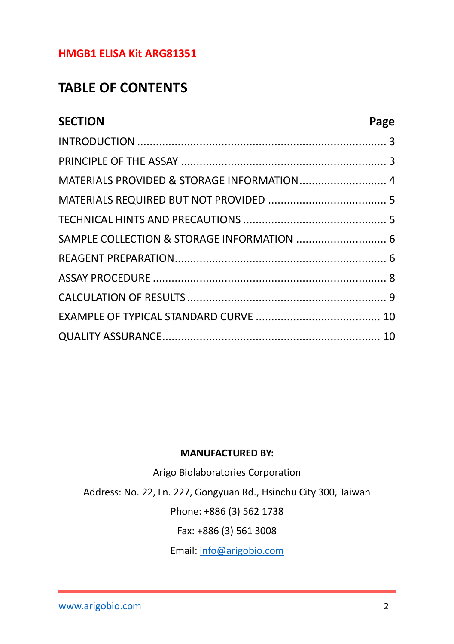## **TABLE OF CONTENTS**

| <b>SECTION</b>                             | Page |
|--------------------------------------------|------|
|                                            |      |
|                                            |      |
| MATERIALS PROVIDED & STORAGE INFORMATION 4 |      |
|                                            |      |
|                                            |      |
| SAMPLE COLLECTION & STORAGE INFORMATION  6 |      |
|                                            |      |
|                                            |      |
|                                            |      |
|                                            |      |
|                                            |      |

#### **MANUFACTURED BY:**

Arigo Biolaboratories Corporation

Address: No. 22, Ln. 227, Gongyuan Rd., Hsinchu City 300, Taiwan

Phone: +886 (3) 562 1738

Fax: +886 (3) 561 3008

Email[: info@arigobio.com](mailto:info@arigobio.com)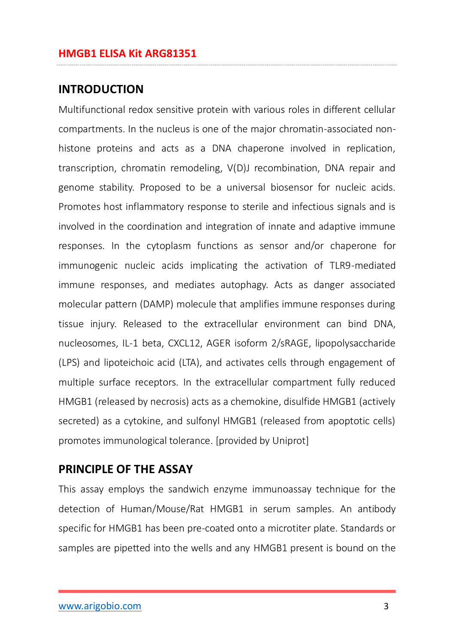#### <span id="page-2-0"></span>**INTRODUCTION**

Multifunctional redox sensitive protein with various roles in different cellular compartments. In the nucleus is one of the major chromatin-associated nonhistone proteins and acts as a DNA chaperone involved in replication, transcription, chromatin remodeling, V(D)J recombination, DNA repair and genome stability. Proposed to be a universal biosensor for nucleic acids. Promotes host inflammatory response to sterile and infectious signals and is involved in the coordination and integration of innate and adaptive immune responses. In the cytoplasm functions as sensor and/or chaperone for immunogenic nucleic acids implicating the activation of TLR9-mediated immune responses, and mediates autophagy. Acts as danger associated molecular pattern (DAMP) molecule that amplifies immune responses during tissue injury. Released to the extracellular environment can bind DNA, nucleosomes, IL-1 beta, CXCL12, AGER isoform 2/sRAGE, lipopolysaccharide (LPS) and lipoteichoic acid (LTA), and activates cells through engagement of multiple surface receptors. In the extracellular compartment fully reduced HMGB1 (released by necrosis) acts as a chemokine, disulfide HMGB1 (actively secreted) as a cytokine, and sulfonyl HMGB1 (released from apoptotic cells) promotes immunological tolerance. [provided by Uniprot]

#### <span id="page-2-1"></span>**PRINCIPLE OF THE ASSAY**

This assay employs the sandwich enzyme immunoassay technique for the detection of Human/Mouse/Rat HMGB1 in serum samples. An antibody specific for HMGB1 has been pre-coated onto a microtiter plate. Standards or samples are pipetted into the wells and any HMGB1 present is bound on the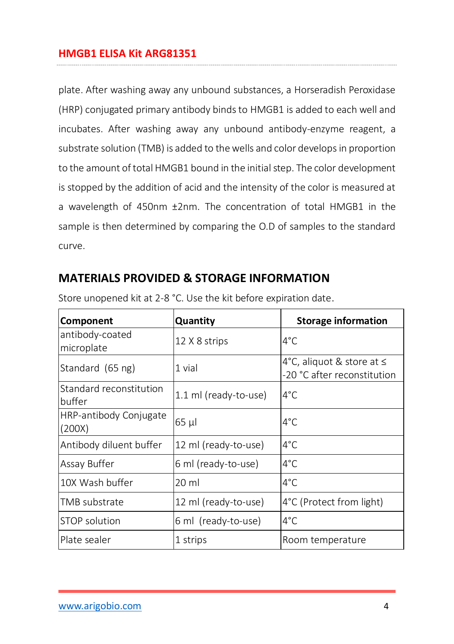plate. After washing away any unbound substances, a Horseradish Peroxidase (HRP) conjugated primary antibody binds to HMGB1 is added to each well and incubates. After washing away any unbound antibody-enzyme reagent, a substrate solution (TMB) is added to the wells and color develops in proportion to the amount of total HMGB1 bound in the initial step. The color development is stopped by the addition of acid and the intensity of the color is measured at a wavelength of 450nm ±2nm. The concentration of total HMGB1 in the sample is then determined by comparing the O.D of samples to the standard curve.

#### <span id="page-3-0"></span>**MATERIALS PROVIDED & STORAGE INFORMATION**

| Component                         | Quantity              | <b>Storage information</b>                               |
|-----------------------------------|-----------------------|----------------------------------------------------------|
| antibody-coated<br>microplate     | 12 X 8 strips         | $4^{\circ}$ C                                            |
| Standard (65 ng)                  | 1 vial                | 4°C, aliquot & store at ≤<br>-20 °C after reconstitution |
| Standard reconstitution<br>buffer | 1.1 ml (ready-to-use) | $4^{\circ}$ C                                            |
| HRP-antibody Conjugate<br>(200X)  | 65 µl                 | $4^{\circ}$ C                                            |
| Antibody diluent buffer           | 12 ml (ready-to-use)  | $4^{\circ}$ C                                            |
| Assay Buffer                      | 6 ml (ready-to-use)   | $4^{\circ}$ C                                            |
| 10X Wash buffer                   | $20 \mathrm{ml}$      | $4^{\circ}$ C                                            |
| TMB substrate                     | 12 ml (ready-to-use)  | 4°C (Protect from light)                                 |
| STOP solution                     | 6 ml (ready-to-use)   | $4^{\circ}$ C                                            |
| Plate sealer                      | 1 strips              | Room temperature                                         |

Store unopened kit at 2-8 °C. Use the kit before expiration date.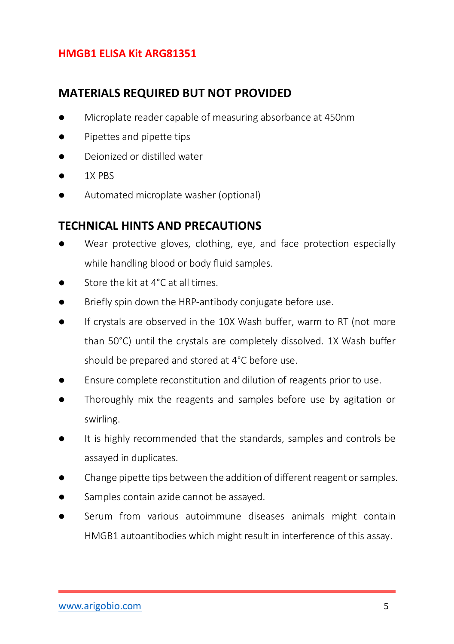## <span id="page-4-0"></span>**MATERIALS REQUIRED BUT NOT PROVIDED**

- Microplate reader capable of measuring absorbance at 450nm
- Pipettes and pipette tips
- Deionized or distilled water
- 1X PBS
- Automated microplate washer (optional)

## <span id="page-4-1"></span>**TECHNICAL HINTS AND PRECAUTIONS**

- Wear protective gloves, clothing, eye, and face protection especially while handling blood or body fluid samples.
- Store the kit at 4°C at all times.
- Briefly spin down the HRP-antibody conjugate before use.
- If crystals are observed in the 10X Wash buffer, warm to RT (not more than 50°C) until the crystals are completely dissolved. 1X Wash buffer should be prepared and stored at 4°C before use.
- Ensure complete reconstitution and dilution of reagents prior to use.
- Thoroughly mix the reagents and samples before use by agitation or swirling.
- It is highly recommended that the standards, samples and controls be assayed in duplicates.
- Change pipette tips between the addition of different reagent or samples.
- Samples contain azide cannot be assayed.
- Serum from various autoimmune diseases animals might contain HMGB1 autoantibodies which might result in interference of this assay.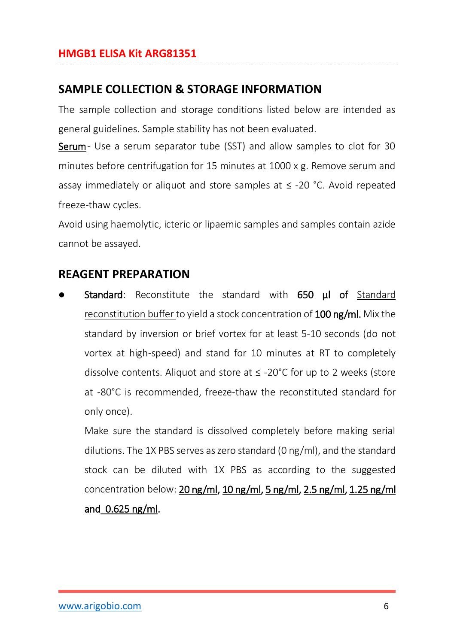## <span id="page-5-0"></span>**SAMPLE COLLECTION & STORAGE INFORMATION**

The sample collection and storage conditions listed below are intended as general guidelines. Sample stability has not been evaluated.

Serum- Use a serum separator tube (SST) and allow samples to clot for 30 minutes before centrifugation for 15 minutes at 1000 x g. Remove serum and assay immediately or aliquot and store samples at ≤ -20 °C. Avoid repeated freeze-thaw cycles.

Avoid using haemolytic, icteric or lipaemic samples and samples contain azide cannot be assayed.

## <span id="page-5-1"></span>**REAGENT PREPARATION**

Standard: Reconstitute the standard with 650 µl of Standard reconstitution buffer to yield a stock concentration of 100 ng/ml. Mix the standard by inversion or brief vortex for at least 5-10 seconds (do not vortex at high-speed) and stand for 10 minutes at RT to completely dissolve contents. Aliquot and store at ≤ -20°C for up to 2 weeks (store at -80°C is recommended, freeze-thaw the reconstituted standard for only once).

Make sure the standard is dissolved completely before making serial dilutions. The 1X PBS serves as zero standard (0 ng/ml), and the standard stock can be diluted with 1X PBS as according to the suggested concentration below: 20 ng/ml, 10 ng/ml, 5 ng/ml, 2.5 ng/ml, 1.25 ng/ml and 0.625 ng/ml.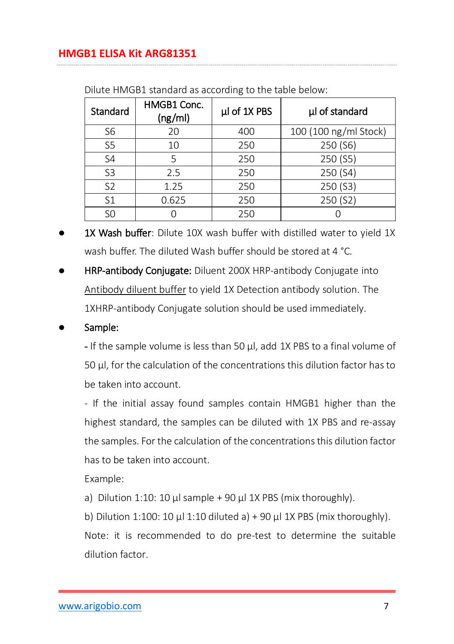| Standard       | HMGB1 Conc.<br>(ng/ml) | µl of 1X PBS | µl of standard        |
|----------------|------------------------|--------------|-----------------------|
| S <sub>6</sub> | 20                     | 400          | 100 (100 ng/ml Stock) |
| S <sub>5</sub> | 10                     | 250          | 250 (S6)              |
| S <sub>4</sub> | 5                      | 250          | 250 (S5)              |
| S <sub>3</sub> | 2.5                    | 250          | 250 (S4)              |
| S <sub>2</sub> | 1.25                   | 250          | 250 (S3)              |
| S <sub>1</sub> | 0.625                  | 250          | 250 (S2)              |
| S <sub>0</sub> |                        | 250          |                       |

Dilute HMGB1 standard as according to the table below:

- 1X Wash buffer: Dilute 10X wash buffer with distilled water to vield 1X wash buffer. The diluted Wash buffer should be stored at 4 °C.
- HRP-antibody Conjugate: Diluent 200X HRP-antibody Conjugate into Antibody diluent buffer to yield 1X Detection antibody solution. The 1XHRP-antibody Conjugate solution should be used immediately.

#### Sample:

- If the sample volume is less than 50 µl, add 1X PBS to a final volume of 50 µl, for the calculation of the concentrations this dilution factor has to be taken into account.

- If the initial assay found samples contain HMGB1 higher than the highest standard, the samples can be diluted with 1X PBS and re-assay the samples. For the calculation of the concentrations this dilution factor has to be taken into account.

Example:

- a) Dilution 1:10: 10  $\mu$  sample + 90  $\mu$  1X PBS (mix thoroughly).
- b) Dilution 1:100: 10  $\mu$ l 1:10 diluted a) + 90  $\mu$ l 1X PBS (mix thoroughly).

Note: it is recommended to do pre-test to determine the suitable dilution factor.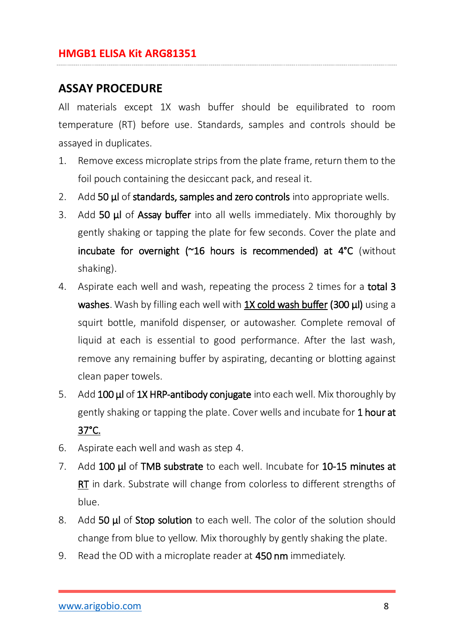## <span id="page-7-0"></span>**ASSAY PROCEDURE**

All materials except 1X wash buffer should be equilibrated to room temperature (RT) before use. Standards, samples and controls should be assayed in duplicates.

- 1. Remove excess microplate strips from the plate frame, return them to the foil pouch containing the desiccant pack, and reseal it.
- 2. Add 50 µl of standards, samples and zero controls into appropriate wells.
- 3. Add 50 **µl** of **Assay buffer** into all wells immediately. Mix thoroughly by gently shaking or tapping the plate for few seconds. Cover the plate and incubate for overnight (~16 hours is recommended) at 4°C (without shaking).
- 4. Aspirate each well and wash, repeating the process 2 times for a **total 3** washes. Wash by filling each well with 1X cold wash buffer (300 μl) using a squirt bottle, manifold dispenser, or autowasher. Complete removal of liquid at each is essential to good performance. After the last wash, remove any remaining buffer by aspirating, decanting or blotting against clean paper towels.
- 5. Add 100 µl of 1X HRP-antibody conjugate into each well. Mix thoroughly by gently shaking or tapping the plate. Cover wells and incubate for 1 hour at 37°C.
- 6. Aspirate each well and wash as step 4.
- 7. Add 100 μl of TMB substrate to each well. Incubate for 10-15 minutes at RT in dark. Substrate will change from colorless to different strengths of blue.
- 8. Add 50 µl of Stop solution to each well. The color of the solution should change from blue to yellow. Mix thoroughly by gently shaking the plate.
- 9. Read the OD with a microplate reader at 450 nm immediately.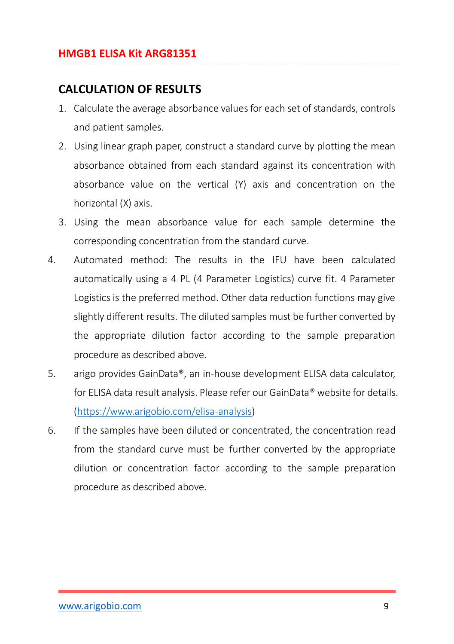## <span id="page-8-0"></span>**CALCULATION OF RESULTS**

- 1. Calculate the average absorbance values for each set of standards, controls and patient samples.
- 2. Using linear graph paper, construct a standard curve by plotting the mean absorbance obtained from each standard against its concentration with absorbance value on the vertical (Y) axis and concentration on the horizontal (X) axis.
- 3. Using the mean absorbance value for each sample determine the corresponding concentration from the standard curve.
- 4. Automated method: The results in the IFU have been calculated automatically using a 4 PL (4 Parameter Logistics) curve fit. 4 Parameter Logistics is the preferred method. Other data reduction functions may give slightly different results. The diluted samples must be further converted by the appropriate dilution factor according to the sample preparation procedure as described above.
- 5. arigo provides GainData®, an in-house development ELISA data calculator, for ELISA data result analysis. Please refer our GainData® website for details. [\(https://www.arigobio.com/elisa-analysis\)](https://www.arigobio.com/elisa-analysis)
- 6. If the samples have been diluted or concentrated, the concentration read from the standard curve must be further converted by the appropriate dilution or concentration factor according to the sample preparation procedure as described above.